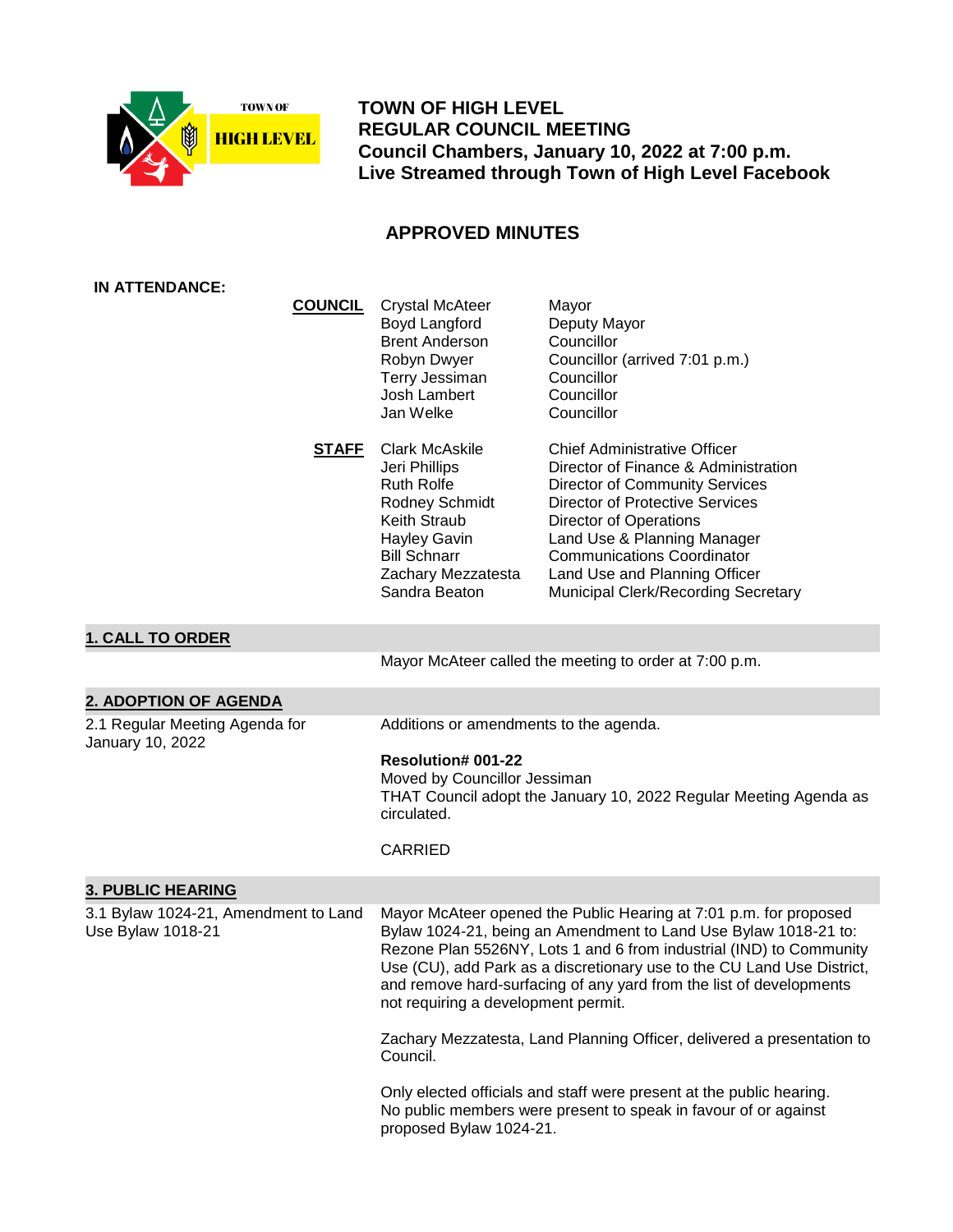

 **TOWN OF HIGH LEVEL REGULAR COUNCIL MEETING Council Chambers, January 10, 2022 at 7:00 p.m. Live Streamed through Town of High Level Facebook**

# **APPROVED MINUTES**

| <b>IN ATTENDANCE:</b>                                     |                |                                                                                                                                                                                                                                                                                                                                                                                                     |                                                                                                                                                                                                                                                                                                                                             |
|-----------------------------------------------------------|----------------|-----------------------------------------------------------------------------------------------------------------------------------------------------------------------------------------------------------------------------------------------------------------------------------------------------------------------------------------------------------------------------------------------------|---------------------------------------------------------------------------------------------------------------------------------------------------------------------------------------------------------------------------------------------------------------------------------------------------------------------------------------------|
|                                                           | <b>COUNCIL</b> | <b>Crystal McAteer</b><br>Boyd Langford<br><b>Brent Anderson</b><br>Robyn Dwyer<br>Terry Jessiman<br>Josh Lambert<br>Jan Welke                                                                                                                                                                                                                                                                      | Mayor<br>Deputy Mayor<br>Councillor<br>Councillor (arrived 7:01 p.m.)<br>Councillor<br>Councillor<br>Councillor                                                                                                                                                                                                                             |
|                                                           | <b>STAFF</b>   | <b>Clark McAskile</b><br>Jeri Phillips<br><b>Ruth Rolfe</b><br>Rodney Schmidt<br><b>Keith Straub</b><br><b>Hayley Gavin</b><br><b>Bill Schnarr</b><br>Zachary Mezzatesta<br>Sandra Beaton                                                                                                                                                                                                           | <b>Chief Administrative Officer</b><br>Director of Finance & Administration<br><b>Director of Community Services</b><br><b>Director of Protective Services</b><br><b>Director of Operations</b><br>Land Use & Planning Manager<br><b>Communications Coordinator</b><br>Land Use and Planning Officer<br>Municipal Clerk/Recording Secretary |
| <b>1. CALL TO ORDER</b>                                   |                |                                                                                                                                                                                                                                                                                                                                                                                                     |                                                                                                                                                                                                                                                                                                                                             |
|                                                           |                |                                                                                                                                                                                                                                                                                                                                                                                                     | Mayor McAteer called the meeting to order at 7:00 p.m.                                                                                                                                                                                                                                                                                      |
| 2. ADOPTION OF AGENDA                                     |                |                                                                                                                                                                                                                                                                                                                                                                                                     |                                                                                                                                                                                                                                                                                                                                             |
| 2.1 Regular Meeting Agenda for<br>January 10, 2022        |                | Additions or amendments to the agenda.<br><b>Resolution# 001-22</b><br>Moved by Councillor Jessiman<br>THAT Council adopt the January 10, 2022 Regular Meeting Agenda as<br>circulated.<br><b>CARRIED</b>                                                                                                                                                                                           |                                                                                                                                                                                                                                                                                                                                             |
| <b>3. PUBLIC HEARING</b>                                  |                |                                                                                                                                                                                                                                                                                                                                                                                                     |                                                                                                                                                                                                                                                                                                                                             |
| 3.1 Bylaw 1024-21, Amendment to Land<br>Use Bylaw 1018-21 |                | Mayor McAteer opened the Public Hearing at 7:01 p.m. for proposed<br>Bylaw 1024-21, being an Amendment to Land Use Bylaw 1018-21 to:<br>Rezone Plan 5526NY, Lots 1 and 6 from industrial (IND) to Community<br>Use (CU), add Park as a discretionary use to the CU Land Use District,<br>and remove hard-surfacing of any yard from the list of developments<br>not requiring a development permit. |                                                                                                                                                                                                                                                                                                                                             |
|                                                           |                | Zachary Mezzatesta, Land Planning Officer, delivered a presentation to<br>Council.                                                                                                                                                                                                                                                                                                                  |                                                                                                                                                                                                                                                                                                                                             |
|                                                           |                | Only elected officials and staff were present at the public hearing.<br>No public members were present to speak in favour of or against<br>proposed Bylaw 1024-21.                                                                                                                                                                                                                                  |                                                                                                                                                                                                                                                                                                                                             |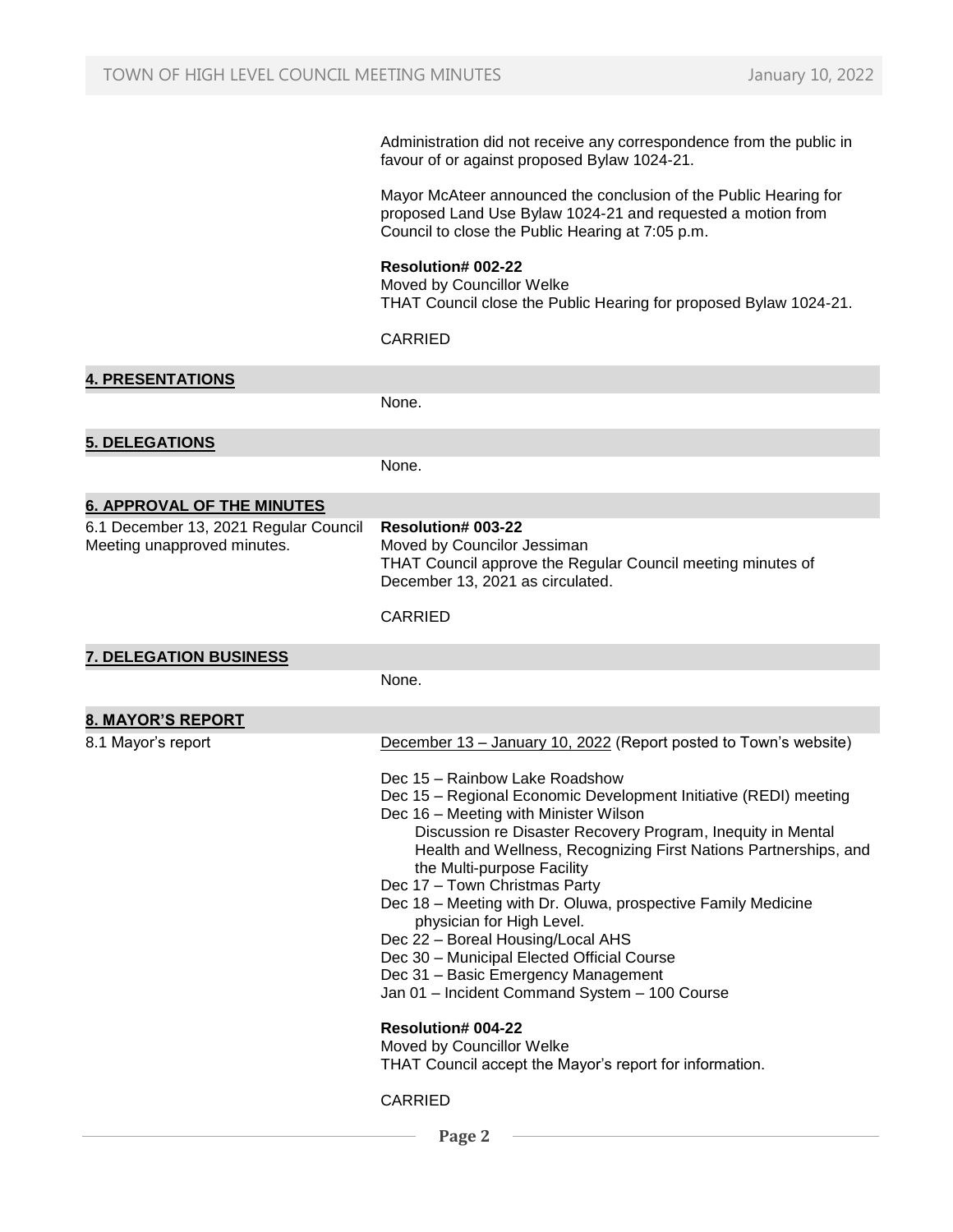Administration did not receive any correspondence from the public in favour of or against proposed Bylaw 1024-21.

Mayor McAteer announced the conclusion of the Public Hearing for proposed Land Use Bylaw 1024-21 and requested a motion from Council to close the Public Hearing at 7:05 p.m.

#### **Resolution# 002-22**

Moved by Councillor Welke THAT Council close the Public Hearing for proposed Bylaw 1024-21.

CARRIED

| <b>4. PRESENTATIONS</b>                                              |                                                                                                                                                                                                                                                                                                                                                                                                                                                                                                                                                                                                                                                                                                                                                                                                                                  |
|----------------------------------------------------------------------|----------------------------------------------------------------------------------------------------------------------------------------------------------------------------------------------------------------------------------------------------------------------------------------------------------------------------------------------------------------------------------------------------------------------------------------------------------------------------------------------------------------------------------------------------------------------------------------------------------------------------------------------------------------------------------------------------------------------------------------------------------------------------------------------------------------------------------|
|                                                                      | None.                                                                                                                                                                                                                                                                                                                                                                                                                                                                                                                                                                                                                                                                                                                                                                                                                            |
| <b>5. DELEGATIONS</b>                                                |                                                                                                                                                                                                                                                                                                                                                                                                                                                                                                                                                                                                                                                                                                                                                                                                                                  |
|                                                                      | None.                                                                                                                                                                                                                                                                                                                                                                                                                                                                                                                                                                                                                                                                                                                                                                                                                            |
| <b>6. APPROVAL OF THE MINUTES</b>                                    |                                                                                                                                                                                                                                                                                                                                                                                                                                                                                                                                                                                                                                                                                                                                                                                                                                  |
| 6.1 December 13, 2021 Regular Council<br>Meeting unapproved minutes. | <b>Resolution# 003-22</b><br>Moved by Councilor Jessiman<br>THAT Council approve the Regular Council meeting minutes of<br>December 13, 2021 as circulated.<br><b>CARRIED</b>                                                                                                                                                                                                                                                                                                                                                                                                                                                                                                                                                                                                                                                    |
| <b>7. DELEGATION BUSINESS</b>                                        |                                                                                                                                                                                                                                                                                                                                                                                                                                                                                                                                                                                                                                                                                                                                                                                                                                  |
|                                                                      | None.                                                                                                                                                                                                                                                                                                                                                                                                                                                                                                                                                                                                                                                                                                                                                                                                                            |
| <b>8. MAYOR'S REPORT</b>                                             |                                                                                                                                                                                                                                                                                                                                                                                                                                                                                                                                                                                                                                                                                                                                                                                                                                  |
| 8.1 Mayor's report                                                   | December 13 - January 10, 2022 (Report posted to Town's website)<br>Dec 15 - Rainbow Lake Roadshow<br>Dec 15 - Regional Economic Development Initiative (REDI) meeting<br>Dec 16 – Meeting with Minister Wilson<br>Discussion re Disaster Recovery Program, Inequity in Mental<br>Health and Wellness, Recognizing First Nations Partnerships, and<br>the Multi-purpose Facility<br>Dec 17 - Town Christmas Party<br>Dec 18 - Meeting with Dr. Oluwa, prospective Family Medicine<br>physician for High Level.<br>Dec 22 - Boreal Housing/Local AHS<br>Dec 30 - Municipal Elected Official Course<br>Dec 31 - Basic Emergency Management<br>Jan 01 - Incident Command System - 100 Course<br><b>Resolution# 004-22</b><br>Moved by Councillor Welke<br>THAT Council accept the Mayor's report for information.<br><b>CARRIED</b> |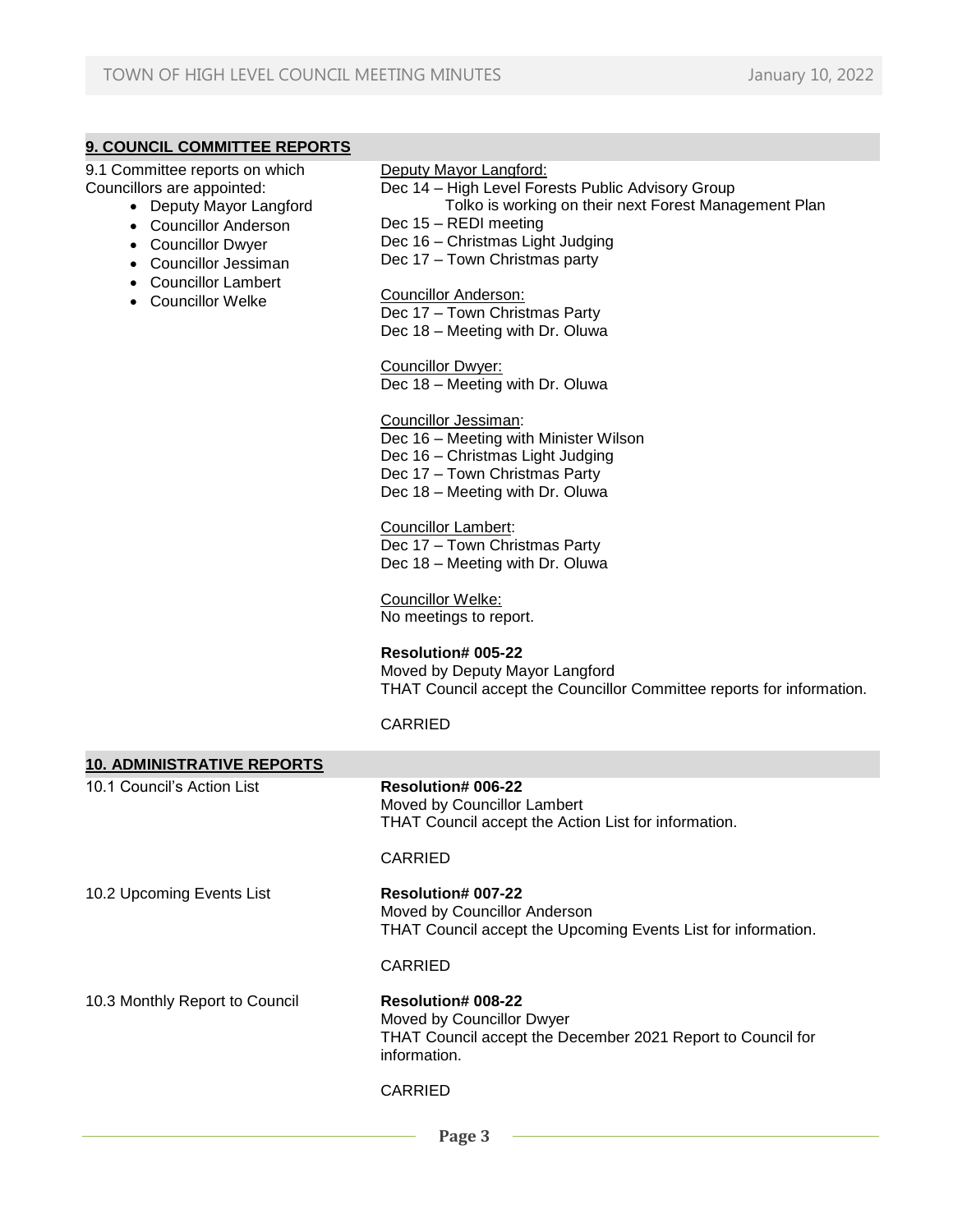## **9. COUNCIL COMMITTEE REPORTS**

9.1 Committee reports on which Councillors are appointed:

- Deputy Mayor Langford
- Councillor Anderson
- Councillor Dwyer
- Councillor Jessiman
- Councillor Lambert
- Councillor Welke

Deputy Mayor Langford:

- Dec 14 High Level Forests Public Advisory Group
	- Tolko is working on their next Forest Management Plan
- Dec 15 REDI meeting
- Dec 16 Christmas Light Judging
- Dec 17 Town Christmas party

#### Councillor Anderson:

Dec 17 – Town Christmas Party

Dec 18 – Meeting with Dr. Oluwa

Councillor Dwyer: Dec 18 – Meeting with Dr. Oluwa

#### Councillor Jessiman:

Dec 16 – Meeting with Minister Wilson Dec 16 – Christmas Light Judging Dec 17 – Town Christmas Party

Dec 18 – Meeting with Dr. Oluwa

# Councillor Lambert:

Dec 17 – Town Christmas Party Dec 18 – Meeting with Dr. Oluwa

Councillor Welke: No meetings to report.

### **Resolution# 005-22**

Moved by Deputy Mayor Langford THAT Council accept the Councillor Committee reports for information.

#### CARRIED

| <b>10. ADMINISTRATIVE REPORTS</b> |                                                                                                                                       |
|-----------------------------------|---------------------------------------------------------------------------------------------------------------------------------------|
| 10.1 Council's Action List        | <b>Resolution# 006-22</b><br>Moved by Councillor Lambert<br>THAT Council accept the Action List for information.                      |
|                                   | <b>CARRIED</b>                                                                                                                        |
| 10.2 Upcoming Events List         | <b>Resolution# 007-22</b><br>Moved by Councillor Anderson<br>THAT Council accept the Upcoming Events List for information.            |
|                                   | CARRIED                                                                                                                               |
| 10.3 Monthly Report to Council    | <b>Resolution# 008-22</b><br>Moved by Councillor Dwyer<br>THAT Council accept the December 2021 Report to Council for<br>information. |
|                                   | CARRIED                                                                                                                               |
|                                   |                                                                                                                                       |

 **Page 3**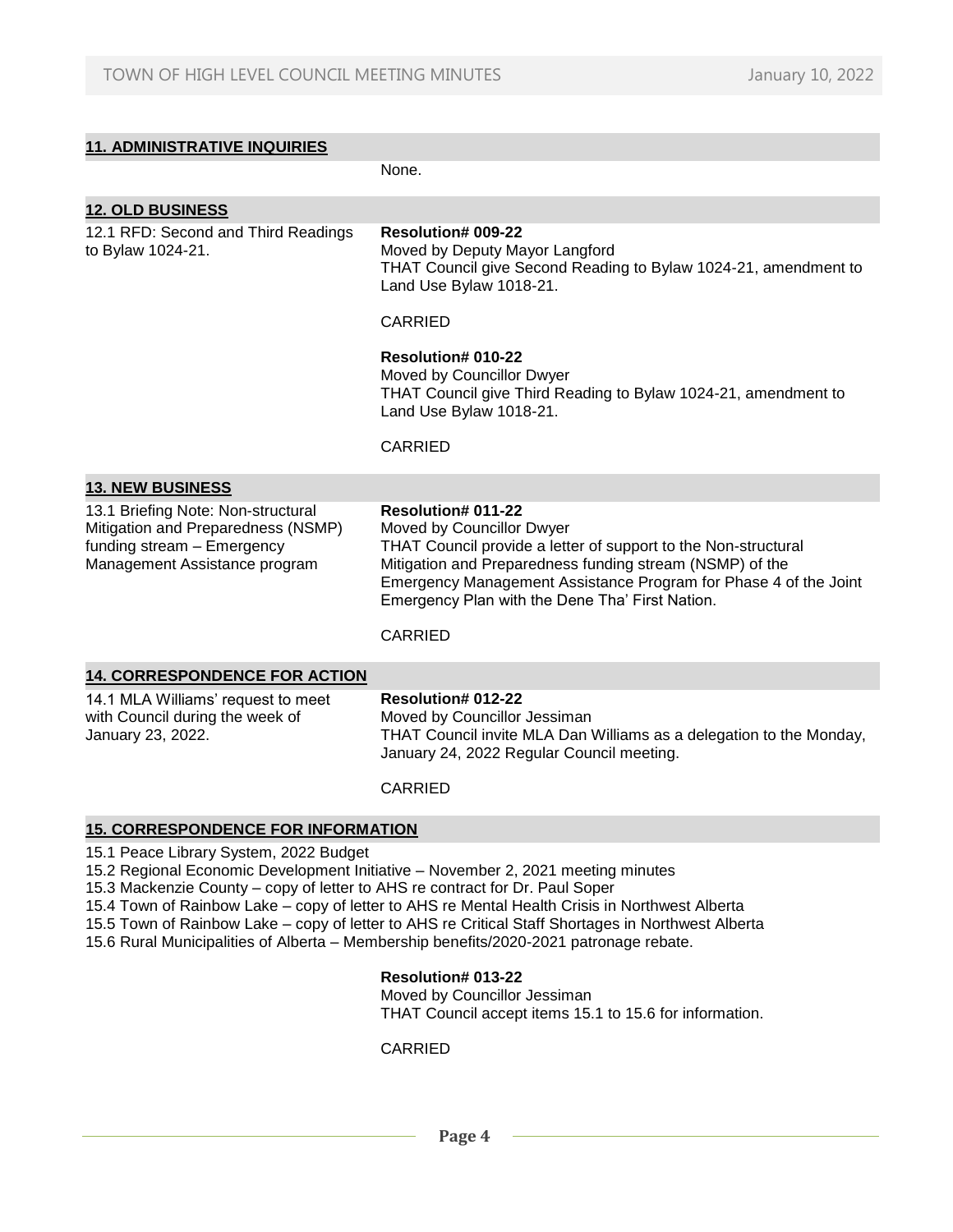| <b>11. ADMINISTRATIVE INQUIRIES</b>                                                                                                                                                                                                                                                                                                                                                                                                                                                                          |                                                                                                                                                                                                                                                                                                                 |  |  |  |
|--------------------------------------------------------------------------------------------------------------------------------------------------------------------------------------------------------------------------------------------------------------------------------------------------------------------------------------------------------------------------------------------------------------------------------------------------------------------------------------------------------------|-----------------------------------------------------------------------------------------------------------------------------------------------------------------------------------------------------------------------------------------------------------------------------------------------------------------|--|--|--|
|                                                                                                                                                                                                                                                                                                                                                                                                                                                                                                              | None.                                                                                                                                                                                                                                                                                                           |  |  |  |
| <b>12. OLD BUSINESS</b>                                                                                                                                                                                                                                                                                                                                                                                                                                                                                      |                                                                                                                                                                                                                                                                                                                 |  |  |  |
| 12.1 RFD: Second and Third Readings<br>to Bylaw 1024-21.                                                                                                                                                                                                                                                                                                                                                                                                                                                     | <b>Resolution# 009-22</b><br>Moved by Deputy Mayor Langford<br>THAT Council give Second Reading to Bylaw 1024-21, amendment to<br>Land Use Bylaw 1018-21.                                                                                                                                                       |  |  |  |
|                                                                                                                                                                                                                                                                                                                                                                                                                                                                                                              | <b>CARRIED</b>                                                                                                                                                                                                                                                                                                  |  |  |  |
|                                                                                                                                                                                                                                                                                                                                                                                                                                                                                                              | Resolution# 010-22<br>Moved by Councillor Dwyer<br>THAT Council give Third Reading to Bylaw 1024-21, amendment to<br>Land Use Bylaw 1018-21.                                                                                                                                                                    |  |  |  |
|                                                                                                                                                                                                                                                                                                                                                                                                                                                                                                              | <b>CARRIED</b>                                                                                                                                                                                                                                                                                                  |  |  |  |
| <b>13. NEW BUSINESS</b>                                                                                                                                                                                                                                                                                                                                                                                                                                                                                      |                                                                                                                                                                                                                                                                                                                 |  |  |  |
| 13.1 Briefing Note: Non-structural<br>Mitigation and Preparedness (NSMP)<br>funding stream - Emergency<br>Management Assistance program                                                                                                                                                                                                                                                                                                                                                                      | Resolution# 011-22<br>Moved by Councillor Dwyer<br>THAT Council provide a letter of support to the Non-structural<br>Mitigation and Preparedness funding stream (NSMP) of the<br>Emergency Management Assistance Program for Phase 4 of the Joint<br>Emergency Plan with the Dene Tha' First Nation.<br>CARRIED |  |  |  |
| <b>14. CORRESPONDENCE FOR ACTION</b>                                                                                                                                                                                                                                                                                                                                                                                                                                                                         |                                                                                                                                                                                                                                                                                                                 |  |  |  |
| 14.1 MLA Williams' request to meet<br>with Council during the week of<br>January 23, 2022.                                                                                                                                                                                                                                                                                                                                                                                                                   | <b>Resolution# 012-22</b><br>Moved by Councillor Jessiman<br>THAT Council invite MLA Dan Williams as a delegation to the Monday,<br>January 24, 2022 Regular Council meeting.<br><b>CARRIED</b>                                                                                                                 |  |  |  |
|                                                                                                                                                                                                                                                                                                                                                                                                                                                                                                              |                                                                                                                                                                                                                                                                                                                 |  |  |  |
| <b>15. CORRESPONDENCE FOR INFORMATION</b>                                                                                                                                                                                                                                                                                                                                                                                                                                                                    |                                                                                                                                                                                                                                                                                                                 |  |  |  |
| 15.1 Peace Library System, 2022 Budget<br>15.2 Regional Economic Development Initiative - November 2, 2021 meeting minutes<br>15.3 Mackenzie County – copy of letter to AHS re contract for Dr. Paul Soper<br>15.4 Town of Rainbow Lake - copy of letter to AHS re Mental Health Crisis in Northwest Alberta<br>15.5 Town of Rainbow Lake - copy of letter to AHS re Critical Staff Shortages in Northwest Alberta<br>15.6 Rural Municipalities of Alberta - Membership benefits/2020-2021 patronage rebate. |                                                                                                                                                                                                                                                                                                                 |  |  |  |
|                                                                                                                                                                                                                                                                                                                                                                                                                                                                                                              | Resolution# 013-22<br>Moved by Councillor Jessiman<br>THAT Council accept items 15.1 to 15.6 for information.                                                                                                                                                                                                   |  |  |  |

## CARRIED